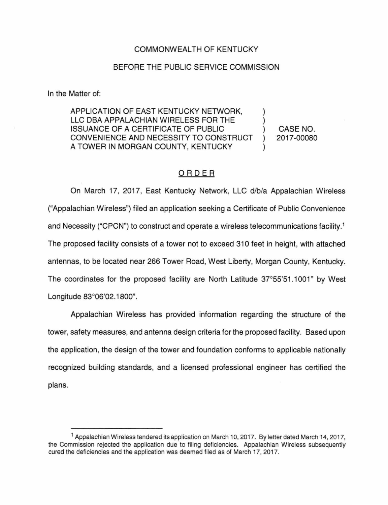## COMMONWEALTH OF KENTUCKY

## BEFORE THE PUBLIC SERVICE COMMISSION

In the Matter of:

APPLICATION OF EAST KENTUCKY NETWORK, LLC DBA APPALACHIAN WIRELESS FOR THE ISSUANCE OF A CERTIFICATE OF PUBLIC CONVENIENCE AND NECESSITY TO CONSTRUCT A TOWER IN MORGAN COUNTY, KENTUCKY

CASE NO. 2017-00080

## ORDER

On March 17, 2017, East Kentucky Network, LLC d/b/a Appalachian Wireless ("Appalachian Wireless") filed an application seeking a Certificate of Public Convenience and Necessity ("CPCN") to construct and operate a wireless telecommunications facility. <sup>1</sup> The proposed facility consists of a tower not to exceed 310 feet in height, with attached antennas, to be located near 266 Tower Road, West Liberty, Morgan County, Kentucky. The coordinates for the proposed facility are North Latitude  $37^{\circ}55'51.1001"$  by West Longitude 83°06'02.1800".

Appalachian Wireless has provided information regarding the structure of the tower, safety measures, and antenna design criteria for the proposed facility. Based upon the application, the design of the tower and foundation conforms to applicable nationally recognized building standards, and a licensed professional engineer has certified the plans.

<sup>1</sup> Appalachian Wireless tendered its application on March 10, 2017. By letter dated March 14, 2017, the Commission rejected the application due to filing deficiencies. Appalachian Wireless subsequently cured the deficiencies and the application was deemed filed as of March 17, 2017.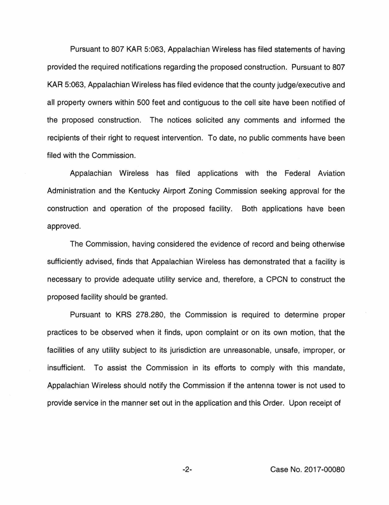Pursuant to 807 KAR 5:063, Appalachian Wireless has filed statements of having provided the required notifications regarding the proposed construction. Pursuant to 807 KAR 5:063, Appalachian Wireless has filed evidence that the county judge/executive and all property owners within 500 feet and contiguous to the cell site have been notified of the proposed construction. The notices solicited any comments and informed the recipients of their right to request intervention. To date, no public comments have been filed with the Commission.

Appalachian Wireless has filed applications with the Federal Aviation Administration and the Kentucky Airport Zoning Commission seeking approval for the construction and operation of the proposed facility. Both applications have been approved.

The Commission, having considered the evidence of record and being otherwise sufficiently advised, finds that Appalachian Wireless has demonstrated that a facility is necessary to provide adequate utility service and, therefore, a CPCN to construct the proposed facility should be granted.

Pursuant to KRS 278.280, the Commission is required to determine proper practices to be observed when it finds, upon complaint or on its own motion, that the facilities of any utility subject to its jurisdiction are unreasonable, unsafe, improper, or insufficient. To assist the Commission in its efforts to comply with this mandate, Appalachian Wireless should notify the Commission if the antenna tower is not used to provide service in the manner set out in the application and this Order. Upon receipt of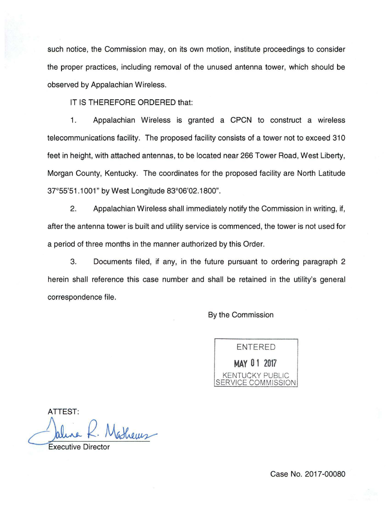such notice, the Commission may, on its own motion, institute proceedings to consider the proper practices, including removal of the unused antenna tower, which should be observed by Appalachian Wireless.

IT IS THEREFORE ORDERED that:

1. Appalachian Wireless is granted a CPCN to construct a wireless telecommunications facility. The proposed facility consists of a tower not to exceed 310 feet in height, with attached antennas, to be located near 266 Tower Road, West Liberty, Morgan County, Kentucky. The coordinates for the proposed facility are North Latitude 37°55'51.1001" by West Longitude 83°06'02.1800".

2. Appalachian Wireless shall immediately notify the Commission in writing, if, after the antenna tower is built and utility service is commenced, the tower is not used for a period of three months in the manner authorized by this Order.

3. Documents filed, if any, in the future pursuant to ordering paragraph 2 herein shall reference this case number and shall be retained in the utility's general correspondence file.

By the Commission

ENTERED **MAY 0 1 2017**  KENTUCKY PUBLIC SERVICE COMMISSION

ATTEST:  $\longrightarrow$  Jaline K bathems

Executive Director

Case No. 2017-00080